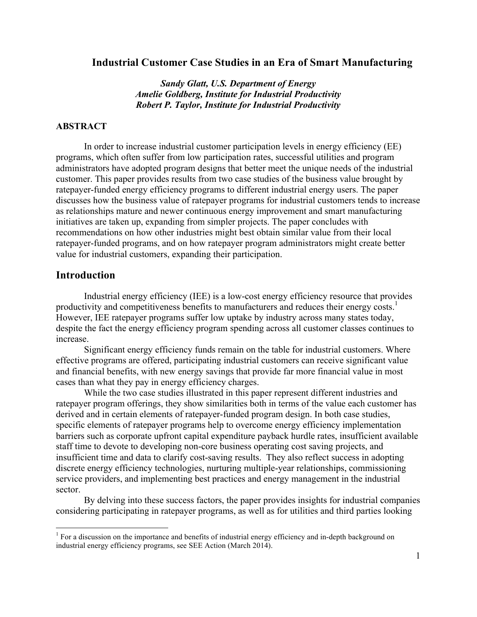# **Industrial Customer Case Studies in an Era of Smart Manufacturing**

*Sandy Glatt, U.S. Department of Energy Amelie Goldberg, Institute for Industrial Productivity Robert P. Taylor, Institute for Industrial Productivity*

### **ABSTRACT**

In order to increase industrial customer participation levels in energy efficiency (EE) programs, which often suffer from low participation rates, successful utilities and program administrators have adopted program designs that better meet the unique needs of the industrial customer. This paper provides results from two case studies of the business value brought by ratepayer-funded energy efficiency programs to different industrial energy users. The paper discusses how the business value of ratepayer programs for industrial customers tends to increase as relationships mature and newer continuous energy improvement and smart manufacturing initiatives are taken up, expanding from simpler projects. The paper concludes with recommendations on how other industries might best obtain similar value from their local ratepayer-funded programs, and on how ratepayer program administrators might create better value for industrial customers, expanding their participation.

# **Introduction**

Industrial energy efficiency (IEE) is a low-cost energy efficiency resource that provides productivity and competitiveness benefits to manufacturers and reduces their energy costs.<sup>1</sup> However, IEE ratepayer programs suffer low uptake by industry across many states today, despite the fact the energy efficiency program spending across all customer classes continues to increase.

Significant energy efficiency funds remain on the table for industrial customers. Where effective programs are offered, participating industrial customers can receive significant value and financial benefits, with new energy savings that provide far more financial value in most cases than what they pay in energy efficiency charges.

While the two case studies illustrated in this paper represent different industries and ratepayer program offerings, they show similarities both in terms of the value each customer has derived and in certain elements of ratepayer-funded program design. In both case studies, specific elements of ratepayer programs help to overcome energy efficiency implementation barriers such as corporate upfront capital expenditure payback hurdle rates, insufficient available staff time to devote to developing non-core business operating cost saving projects, and insufficient time and data to clarify cost-saving results. They also reflect success in adopting discrete energy efficiency technologies, nurturing multiple-year relationships, commissioning service providers, and implementing best practices and energy management in the industrial sector.

By delving into these success factors, the paper provides insights for industrial companies considering participating in ratepayer programs, as well as for utilities and third parties looking

<sup>&</sup>lt;sup>1</sup> For a discussion on the importance and benefits of industrial energy efficiency and in-depth background on industrial energy efficiency programs, see SEE Action (March 2014).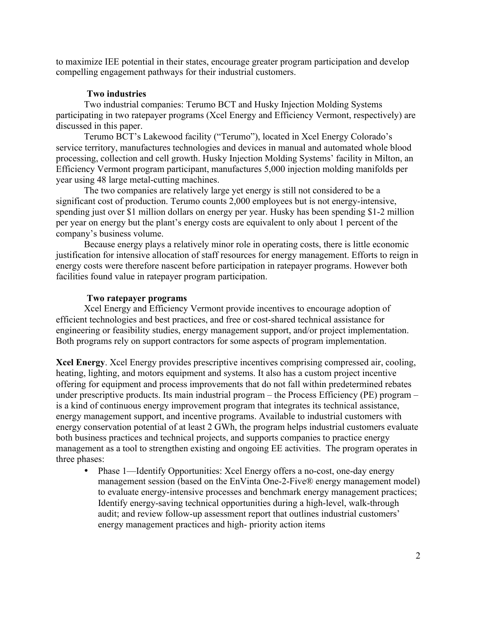to maximize IEE potential in their states, encourage greater program participation and develop compelling engagement pathways for their industrial customers.

# **Two industries**

Two industrial companies: Terumo BCT and Husky Injection Molding Systems participating in two ratepayer programs (Xcel Energy and Efficiency Vermont, respectively) are discussed in this paper.

Terumo BCT's Lakewood facility ("Terumo"), located in Xcel Energy Colorado's service territory, manufactures technologies and devices in manual and automated whole blood processing, collection and cell growth. Husky Injection Molding Systems' facility in Milton, an Efficiency Vermont program participant, manufactures 5,000 injection molding manifolds per year using 48 large metal-cutting machines.

The two companies are relatively large yet energy is still not considered to be a significant cost of production. Terumo counts 2,000 employees but is not energy-intensive, spending just over \$1 million dollars on energy per year. Husky has been spending \$1-2 million per year on energy but the plant's energy costs are equivalent to only about 1 percent of the company's business volume.

Because energy plays a relatively minor role in operating costs, there is little economic justification for intensive allocation of staff resources for energy management. Efforts to reign in energy costs were therefore nascent before participation in ratepayer programs. However both facilities found value in ratepayer program participation.

# **Two ratepayer programs**

Xcel Energy and Efficiency Vermont provide incentives to encourage adoption of efficient technologies and best practices, and free or cost-shared technical assistance for engineering or feasibility studies, energy management support, and/or project implementation. Both programs rely on support contractors for some aspects of program implementation.

**Xcel Energy**. Xcel Energy provides prescriptive incentives comprising compressed air, cooling, heating, lighting, and motors equipment and systems. It also has a custom project incentive offering for equipment and process improvements that do not fall within predetermined rebates under prescriptive products. Its main industrial program – the Process Efficiency (PE) program – is a kind of continuous energy improvement program that integrates its technical assistance, energy management support, and incentive programs. Available to industrial customers with energy conservation potential of at least 2 GWh, the program helps industrial customers evaluate both business practices and technical projects, and supports companies to practice energy management as a tool to strengthen existing and ongoing EE activities. The program operates in three phases:

• Phase 1—Identify Opportunities: Xcel Energy offers a no-cost, one-day energy management session (based on the EnVinta One-2-Five® energy management model) to evaluate energy-intensive processes and benchmark energy management practices; Identify energy-saving technical opportunities during a high-level, walk-through audit; and review follow-up assessment report that outlines industrial customers' energy management practices and high- priority action items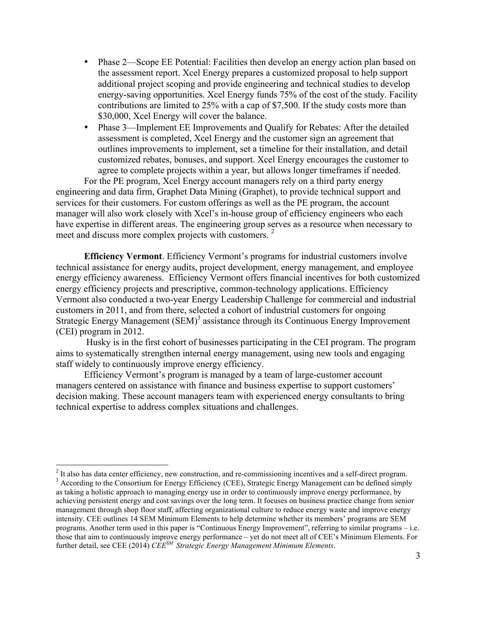- Phase 2—Scope EE Potential: Facilities then develop an energy action plan based on the assessment report. Xcel Energy prepares a customized proposal to help support additional project scoping and provide engineering and technical studies to develop energy-saving opportunities. Xcel Energy funds 75% of the cost of the study. Facility contributions are limited to 25% with a cap of \$7,500. If the study costs more than \$30,000, Xcel Energy will cover the balance.
- Phase 3—Implement EE Improvements and Qualify for Rebates: After the detailed assessment is completed, Xcel Energy and the customer sign an agreement that outlines improvements to implement, set a timeline for their installation, and detail customized rebates, bonuses, and support. Xcel Energy encourages the customer to agree to complete projects within a year, but allows longer timeframes if needed.

For the PE program, Xcel Energy account managers rely on a third party energy engineering and data firm, Graphet Data Mining (Graphet), to provide technical support and services for their customers. For custom offerings as well as the PE program, the account manager will also work closely with Xcel's in-house group of efficiency engineers who each have expertise in different areas. The engineering group serves as a resource when necessary to meet and discuss more complex projects with customers.<sup>2</sup>

**Efficiency Vermont**. Efficiency Vermont's programs for industrial customers involve technical assistance for energy audits, project development, energy management, and employee energy efficiency awareness. Efficiency Vermont offers financial incentives for both customized energy efficiency projects and prescriptive, common-technology applications. Efficiency Vermont also conducted a two-year Energy Leadership Challenge for commercial and industrial customers in 2011, and from there, selected a cohort of industrial customers for ongoing Strategic Energy Management (SEM)<sup>3</sup> assistance through its Continuous Energy Improvement (CEI) program in 2012.

Husky is in the first cohort of businesses participating in the CEI program. The program aims to systematically strengthen internal energy management, using new tools and engaging staff widely to continuously improve energy efficiency.

Efficiency Vermont's program is managed by a team of large-customer account managers centered on assistance with finance and business expertise to support customers' decision making. These account managers team with experienced energy consultants to bring technical expertise to address complex situations and challenges.

<sup>&</sup>lt;sup>2</sup> It also has data center efficiency, new construction, and re-commissioning incentives and a self-direct program.  $3$  According to the Consortium for Energy Efficiency (CEE), Strategic Energy Management can be defined

as taking a holistic approach to managing energy use in order to continuously improve energy performance, by achieving persistent energy and cost savings over the long term. It focuses on business practice change from senior management through shop floor staff, affecting organizational culture to reduce energy waste and improve energy intensity. CEE outlines 14 SEM Minimum Elements to help determine whether its members' programs are SEM programs. Another term used in this paper is "Continuous Energy Improvement", referring to similar programs – i.e. those that aim to continuously improve energy performance – yet do not meet all of CEE's Minimum Elements. For further detail, see CEE (2014) *CEESM Strategic Energy Management Minimum Elements*.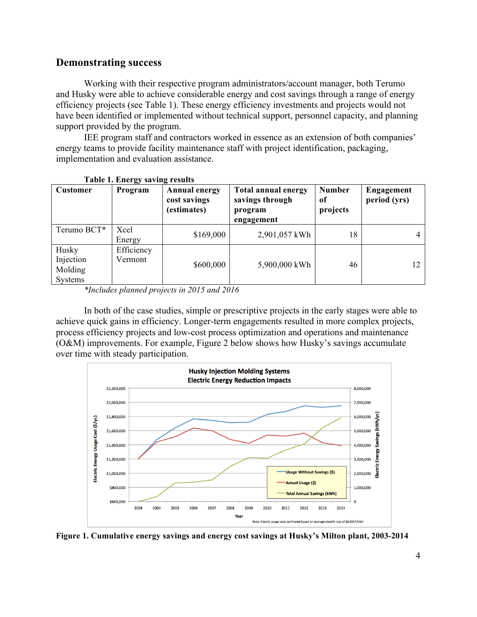# **Demonstrating success**

Working with their respective program administrators/account manager, both Terumo and Husky were able to achieve considerable energy and cost savings through a range of energy efficiency projects (see Table 1). These energy efficiency investments and projects would not have been identified or implemented without technical support, personnel capacity, and planning support provided by the program.

IEE program staff and contractors worked in essence as an extension of both companies' energy teams to provide facility maintenance staff with project identification, packaging, implementation and evaluation assistance.

| таріс 1. епсі ду затінд гезинз                  |                       |                                                     |                                                                        |                                 |                            |  |  |
|-------------------------------------------------|-----------------------|-----------------------------------------------------|------------------------------------------------------------------------|---------------------------------|----------------------------|--|--|
| <b>Customer</b>                                 | Program               | <b>Annual energy</b><br>cost savings<br>(estimates) | <b>Total annual energy</b><br>savings through<br>program<br>engagement | <b>Number</b><br>of<br>projects | Engagement<br>period (yrs) |  |  |
| Terumo BCT*                                     | Xcel<br>Energy        | \$169,000                                           | 2,901,057 kWh                                                          | 18                              |                            |  |  |
| Husky<br>Injection<br>Molding<br><b>Systems</b> | Efficiency<br>Vermont | \$600,000                                           | 5,900,000 kWh                                                          | 46                              | 12                         |  |  |

**Table 1. Energy saving results**

In both of the case studies, simple or prescriptive projects in the early stages were able to achieve quick gains in efficiency. Longer-term engagements resulted in more complex projects, process efficiency projects and low-cost process optimization and operations and maintenance (O&M) improvements. For example, Figure 2 below shows how Husky's savings accumulate over time with steady participation.



**Figure 1. Cumulative energy savings and energy cost savings at Husky's Milton plant, 2003-2014**

*<sup>\*</sup>Includes planned projects in 2015 and 2016*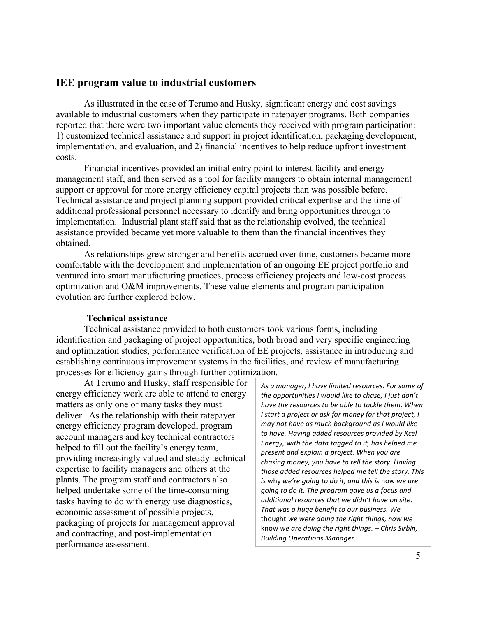# **IEE program value to industrial customers**

As illustrated in the case of Terumo and Husky, significant energy and cost savings available to industrial customers when they participate in ratepayer programs. Both companies reported that there were two important value elements they received with program participation: 1) customized technical assistance and support in project identification, packaging development, implementation, and evaluation, and 2) financial incentives to help reduce upfront investment costs.

Financial incentives provided an initial entry point to interest facility and energy management staff, and then served as a tool for facility mangers to obtain internal management support or approval for more energy efficiency capital projects than was possible before. Technical assistance and project planning support provided critical expertise and the time of additional professional personnel necessary to identify and bring opportunities through to implementation. Industrial plant staff said that as the relationship evolved, the technical assistance provided became yet more valuable to them than the financial incentives they obtained.

As relationships grew stronger and benefits accrued over time, customers became more comfortable with the development and implementation of an ongoing EE project portfolio and ventured into smart manufacturing practices, process efficiency projects and low-cost process optimization and O&M improvements. These value elements and program participation evolution are further explored below.

### **Technical assistance**

Technical assistance provided to both customers took various forms, including identification and packaging of project opportunities, both broad and very specific engineering and optimization studies, performance verification of EE projects, assistance in introducing and establishing continuous improvement systems in the facilities, and review of manufacturing processes for efficiency gains through further optimization.

At Terumo and Husky, staff responsible for energy efficiency work are able to attend to energy matters as only one of many tasks they must deliver. As the relationship with their ratepayer energy efficiency program developed, program account managers and key technical contractors helped to fill out the facility's energy team, providing increasingly valued and steady technical expertise to facility managers and others at the plants. The program staff and contractors also helped undertake some of the time-consuming tasks having to do with energy use diagnostics, economic assessment of possible projects, packaging of projects for management approval and contracting, and post-implementation performance assessment.

As a manager, I have limited resources. For some of the opportunities I would like to chase, I just don't have the resources to be able to tackle them. When *I* start a project or ask for money for that project, *I may not have as much background as I would like* to have. Having added resources provided by Xcel Energy, with the data tagged to it, has helped me present and explain a project. When you are *chasing money, you have to tell the story. Having* those added resources helped me tell the story. This *is* why we're going to do it, and this is how we are *going to do it. The program gave us a focus and additional resources that we didn't have on site.*  That was a huge benefit to our business. We thought *we were doing the right things, now we* know *we are doing the right things.* – *Chris Sirbin, Building Operations Manager.*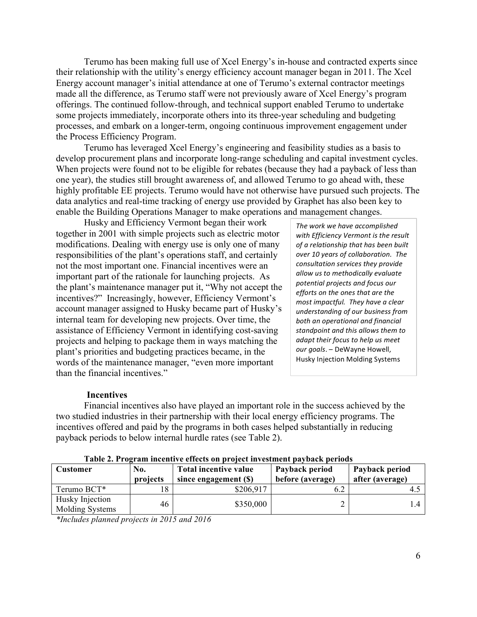Terumo has been making full use of Xcel Energy's in-house and contracted experts since their relationship with the utility's energy efficiency account manager began in 2011. The Xcel Energy account manager's initial attendance at one of Terumo's external contractor meetings made all the difference, as Terumo staff were not previously aware of Xcel Energy's program offerings. The continued follow-through, and technical support enabled Terumo to undertake some projects immediately, incorporate others into its three-year scheduling and budgeting processes, and embark on a longer-term, ongoing continuous improvement engagement under the Process Efficiency Program.

Terumo has leveraged Xcel Energy's engineering and feasibility studies as a basis to develop procurement plans and incorporate long-range scheduling and capital investment cycles. When projects were found not to be eligible for rebates (because they had a payback of less than one year), the studies still brought awareness of, and allowed Terumo to go ahead with, these highly profitable EE projects. Terumo would have not otherwise have pursued such projects. The data analytics and real-time tracking of energy use provided by Graphet has also been key to enable the Building Operations Manager to make operations and management changes.

Husky and Efficiency Vermont began their work together in 2001 with simple projects such as electric motor modifications. Dealing with energy use is only one of many responsibilities of the plant's operations staff, and certainly not the most important one. Financial incentives were an important part of the rationale for launching projects. As the plant's maintenance manager put it, "Why not accept the incentives?" Increasingly, however, Efficiency Vermont's account manager assigned to Husky became part of Husky's internal team for developing new projects. Over time, the assistance of Efficiency Vermont in identifying cost-saving projects and helping to package them in ways matching the plant's priorities and budgeting practices became, in the words of the maintenance manager, "even more important than the financial incentives."

The work we have accomplished with Efficiency Vermont is the result of a relationship that has been built *over 10 years of collaboration. The consultation services they provide allow us to methodically evaluate potential projects and focus our efforts* on the ones that are the *most impactful.* They have a clear *understanding of our business from*  **both** an operational and financial *standpoint and this allows them to adapt their focus to help us meet* our goals. - DeWayne Howell, Husky Injection Molding Systems

#### **Incentives**

Financial incentives also have played an important role in the success achieved by the two studied industries in their partnership with their local energy efficiency programs. The incentives offered and paid by the programs in both cases helped substantially in reducing payback periods to below internal hurdle rates (see Table 2).

| Customer                           | No.<br>projects | Total incentive value<br>since engagement (\$) | Payback period<br>before (average) | Payback period<br>after (average) |
|------------------------------------|-----------------|------------------------------------------------|------------------------------------|-----------------------------------|
| Terumo BCT*                        |                 | \$206,917                                      |                                    |                                   |
| Husky Injection<br>Molding Systems | 46              | \$350,000                                      |                                    |                                   |

**Table 2. Program incentive effects on project investment payback periods**

*\*Includes planned projects in 2015 and 2016*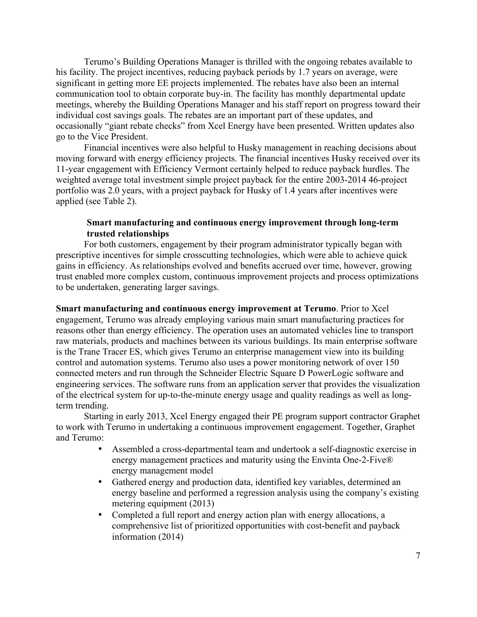Terumo's Building Operations Manager is thrilled with the ongoing rebates available to his facility. The project incentives, reducing payback periods by 1.7 years on average, were significant in getting more EE projects implemented. The rebates have also been an internal communication tool to obtain corporate buy-in. The facility has monthly departmental update meetings, whereby the Building Operations Manager and his staff report on progress toward their individual cost savings goals. The rebates are an important part of these updates, and occasionally "giant rebate checks" from Xcel Energy have been presented. Written updates also go to the Vice President.

Financial incentives were also helpful to Husky management in reaching decisions about moving forward with energy efficiency projects. The financial incentives Husky received over its 11-year engagement with Efficiency Vermont certainly helped to reduce payback hurdles. The weighted average total investment simple project payback for the entire 2003-2014 46-project portfolio was 2.0 years, with a project payback for Husky of 1.4 years after incentives were applied (see Table 2).

# **Smart manufacturing and continuous energy improvement through long-term trusted relationships**

For both customers, engagement by their program administrator typically began with prescriptive incentives for simple crosscutting technologies, which were able to achieve quick gains in efficiency. As relationships evolved and benefits accrued over time, however, growing trust enabled more complex custom, continuous improvement projects and process optimizations to be undertaken, generating larger savings.

**Smart manufacturing and continuous energy improvement at Terumo**. Prior to Xcel engagement, Terumo was already employing various main smart manufacturing practices for reasons other than energy efficiency. The operation uses an automated vehicles line to transport raw materials, products and machines between its various buildings. Its main enterprise software is the Trane Tracer ES, which gives Terumo an enterprise management view into its building control and automation systems. Terumo also uses a power monitoring network of over 150 connected meters and run through the Schneider Electric Square D PowerLogic software and engineering services. The software runs from an application server that provides the visualization of the electrical system for up-to-the-minute energy usage and quality readings as well as longterm trending.

Starting in early 2013, Xcel Energy engaged their PE program support contractor Graphet to work with Terumo in undertaking a continuous improvement engagement. Together, Graphet and Terumo:

- Assembled a cross-departmental team and undertook a self-diagnostic exercise in energy management practices and maturity using the Envinta One-2-Five® energy management model
- Gathered energy and production data, identified key variables, determined an energy baseline and performed a regression analysis using the company's existing metering equipment (2013)
- Completed a full report and energy action plan with energy allocations, a comprehensive list of prioritized opportunities with cost-benefit and payback information (2014)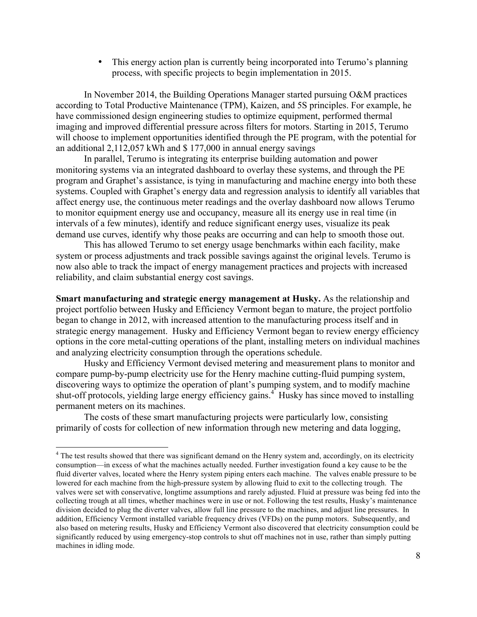• This energy action plan is currently being incorporated into Terumo's planning process, with specific projects to begin implementation in 2015.

In November 2014, the Building Operations Manager started pursuing O&M practices according to Total Productive Maintenance (TPM), Kaizen, and 5S principles. For example, he have commissioned design engineering studies to optimize equipment, performed thermal imaging and improved differential pressure across filters for motors. Starting in 2015, Terumo will choose to implement opportunities identified through the PE program, with the potential for an additional 2,112,057 kWh and \$ 177,000 in annual energy savings

In parallel, Terumo is integrating its enterprise building automation and power monitoring systems via an integrated dashboard to overlay these systems, and through the PE program and Graphet's assistance, is tying in manufacturing and machine energy into both these systems. Coupled with Graphet's energy data and regression analysis to identify all variables that affect energy use, the continuous meter readings and the overlay dashboard now allows Terumo to monitor equipment energy use and occupancy, measure all its energy use in real time (in intervals of a few minutes), identify and reduce significant energy uses, visualize its peak demand use curves, identify why those peaks are occurring and can help to smooth those out.

This has allowed Terumo to set energy usage benchmarks within each facility, make system or process adjustments and track possible savings against the original levels. Terumo is now also able to track the impact of energy management practices and projects with increased reliability, and claim substantial energy cost savings.

**Smart manufacturing and strategic energy management at Husky.** As the relationship and project portfolio between Husky and Efficiency Vermont began to mature, the project portfolio began to change in 2012, with increased attention to the manufacturing process itself and in strategic energy management. Husky and Efficiency Vermont began to review energy efficiency options in the core metal-cutting operations of the plant, installing meters on individual machines and analyzing electricity consumption through the operations schedule.

Husky and Efficiency Vermont devised metering and measurement plans to monitor and compare pump-by-pump electricity use for the Henry machine cutting-fluid pumping system, discovering ways to optimize the operation of plant's pumping system, and to modify machine shut-off protocols, yielding large energy efficiency gains.<sup>4</sup> Husky has since moved to installing permanent meters on its machines.

The costs of these smart manufacturing projects were particularly low, consisting primarily of costs for collection of new information through new metering and data logging,

<sup>&</sup>lt;sup>4</sup> The test results showed that there was significant demand on the Henry system and, accordingly, on its electricity consumption—in excess of what the machines actually needed. Further investigation found a key cause to be the fluid diverter valves, located where the Henry system piping enters each machine. The valves enable pressure to be lowered for each machine from the high-pressure system by allowing fluid to exit to the collecting trough. The valves were set with conservative, longtime assumptions and rarely adjusted. Fluid at pressure was being fed into the collecting trough at all times, whether machines were in use or not. Following the test results, Husky's maintenance division decided to plug the diverter valves, allow full line pressure to the machines, and adjust line pressures. In addition, Efficiency Vermont installed variable frequency drives (VFDs) on the pump motors. Subsequently, and also based on metering results, Husky and Efficiency Vermont also discovered that electricity consumption could be significantly reduced by using emergency-stop controls to shut off machines not in use, rather than simply putting machines in idling mode.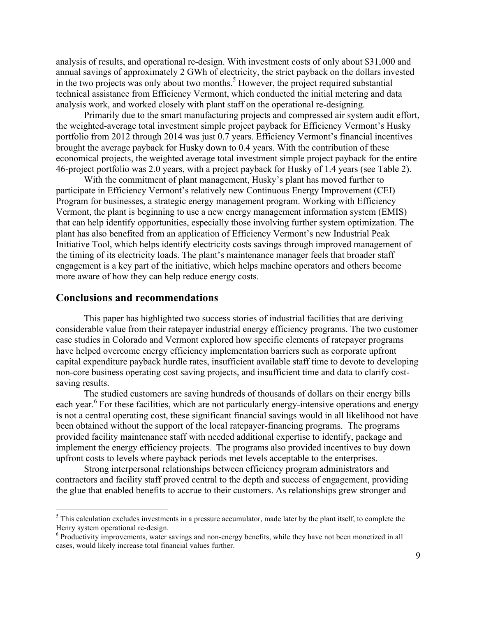analysis of results, and operational re-design. With investment costs of only about \$31,000 and annual savings of approximately 2 GWh of electricity, the strict payback on the dollars invested in the two projects was only about two months.<sup>5</sup> However, the project required substantial technical assistance from Efficiency Vermont, which conducted the initial metering and data analysis work, and worked closely with plant staff on the operational re-designing.

Primarily due to the smart manufacturing projects and compressed air system audit effort, the weighted-average total investment simple project payback for Efficiency Vermont's Husky portfolio from 2012 through 2014 was just 0.7 years. Efficiency Vermont's financial incentives brought the average payback for Husky down to 0.4 years. With the contribution of these economical projects, the weighted average total investment simple project payback for the entire 46-project portfolio was 2.0 years, with a project payback for Husky of 1.4 years (see Table 2).

With the commitment of plant management, Husky's plant has moved further to participate in Efficiency Vermont's relatively new Continuous Energy Improvement (CEI) Program for businesses, a strategic energy management program. Working with Efficiency Vermont, the plant is beginning to use a new energy management information system (EMIS) that can help identify opportunities, especially those involving further system optimization. The plant has also benefited from an application of Efficiency Vermont's new Industrial Peak Initiative Tool, which helps identify electricity costs savings through improved management of the timing of its electricity loads. The plant's maintenance manager feels that broader staff engagement is a key part of the initiative, which helps machine operators and others become more aware of how they can help reduce energy costs.

### **Conclusions and recommendations**

This paper has highlighted two success stories of industrial facilities that are deriving considerable value from their ratepayer industrial energy efficiency programs. The two customer case studies in Colorado and Vermont explored how specific elements of ratepayer programs have helped overcome energy efficiency implementation barriers such as corporate upfront capital expenditure payback hurdle rates, insufficient available staff time to devote to developing non-core business operating cost saving projects, and insufficient time and data to clarify costsaving results.

The studied customers are saving hundreds of thousands of dollars on their energy bills each year.<sup>6</sup> For these facilities, which are not particularly energy-intensive operations and energy is not a central operating cost, these significant financial savings would in all likelihood not have been obtained without the support of the local ratepayer-financing programs. The programs provided facility maintenance staff with needed additional expertise to identify, package and implement the energy efficiency projects. The programs also provided incentives to buy down upfront costs to levels where payback periods met levels acceptable to the enterprises.

Strong interpersonal relationships between efficiency program administrators and contractors and facility staff proved central to the depth and success of engagement, providing the glue that enabled benefits to accrue to their customers. As relationships grew stronger and

 $<sup>5</sup>$  This calculation excludes investments in a pressure accumulator, made later by the plant itself, to complete the</sup> Henry system operational re-design.<br><sup>6</sup> Productivity improvements, water savings and non-energy benefits, while they have not been monetized in all

cases, would likely increase total financial values further.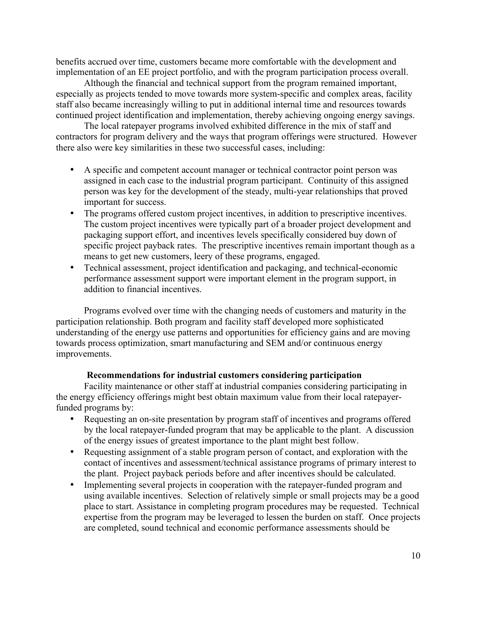benefits accrued over time, customers became more comfortable with the development and implementation of an EE project portfolio, and with the program participation process overall.

Although the financial and technical support from the program remained important, especially as projects tended to move towards more system-specific and complex areas, facility staff also became increasingly willing to put in additional internal time and resources towards continued project identification and implementation, thereby achieving ongoing energy savings.

The local ratepayer programs involved exhibited difference in the mix of staff and contractors for program delivery and the ways that program offerings were structured. However there also were key similarities in these two successful cases, including:

- A specific and competent account manager or technical contractor point person was assigned in each case to the industrial program participant. Continuity of this assigned person was key for the development of the steady, multi-year relationships that proved important for success.
- The programs offered custom project incentives, in addition to prescriptive incentives. The custom project incentives were typically part of a broader project development and packaging support effort, and incentives levels specifically considered buy down of specific project payback rates. The prescriptive incentives remain important though as a means to get new customers, leery of these programs, engaged.
- Technical assessment, project identification and packaging, and technical-economic performance assessment support were important element in the program support, in addition to financial incentives.

Programs evolved over time with the changing needs of customers and maturity in the participation relationship. Both program and facility staff developed more sophisticated understanding of the energy use patterns and opportunities for efficiency gains and are moving towards process optimization, smart manufacturing and SEM and/or continuous energy improvements.

### **Recommendations for industrial customers considering participation**

Facility maintenance or other staff at industrial companies considering participating in the energy efficiency offerings might best obtain maximum value from their local ratepayerfunded programs by:

- Requesting an on-site presentation by program staff of incentives and programs offered by the local ratepayer-funded program that may be applicable to the plant. A discussion of the energy issues of greatest importance to the plant might best follow.
- Requesting assignment of a stable program person of contact, and exploration with the contact of incentives and assessment/technical assistance programs of primary interest to the plant. Project payback periods before and after incentives should be calculated.
- Implementing several projects in cooperation with the ratepayer-funded program and using available incentives. Selection of relatively simple or small projects may be a good place to start. Assistance in completing program procedures may be requested. Technical expertise from the program may be leveraged to lessen the burden on staff. Once projects are completed, sound technical and economic performance assessments should be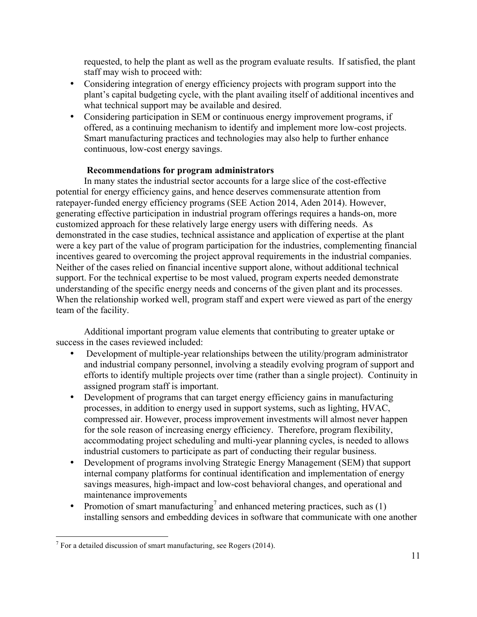requested, to help the plant as well as the program evaluate results. If satisfied, the plant staff may wish to proceed with:

- Considering integration of energy efficiency projects with program support into the plant's capital budgeting cycle, with the plant availing itself of additional incentives and what technical support may be available and desired.
- Considering participation in SEM or continuous energy improvement programs, if offered, as a continuing mechanism to identify and implement more low-cost projects. Smart manufacturing practices and technologies may also help to further enhance continuous, low-cost energy savings.

# **Recommendations for program administrators**

In many states the industrial sector accounts for a large slice of the cost-effective potential for energy efficiency gains, and hence deserves commensurate attention from ratepayer-funded energy efficiency programs (SEE Action 2014, Aden 2014). However, generating effective participation in industrial program offerings requires a hands-on, more customized approach for these relatively large energy users with differing needs. As demonstrated in the case studies, technical assistance and application of expertise at the plant were a key part of the value of program participation for the industries, complementing financial incentives geared to overcoming the project approval requirements in the industrial companies. Neither of the cases relied on financial incentive support alone, without additional technical support. For the technical expertise to be most valued, program experts needed demonstrate understanding of the specific energy needs and concerns of the given plant and its processes. When the relationship worked well, program staff and expert were viewed as part of the energy team of the facility.

Additional important program value elements that contributing to greater uptake or success in the cases reviewed included:

- Development of multiple-year relationships between the utility/program administrator and industrial company personnel, involving a steadily evolving program of support and efforts to identify multiple projects over time (rather than a single project). Continuity in assigned program staff is important.
- Development of programs that can target energy efficiency gains in manufacturing processes, in addition to energy used in support systems, such as lighting, HVAC, compressed air. However, process improvement investments will almost never happen for the sole reason of increasing energy efficiency. Therefore, program flexibility, accommodating project scheduling and multi-year planning cycles, is needed to allows industrial customers to participate as part of conducting their regular business.
- Development of programs involving Strategic Energy Management (SEM) that support internal company platforms for continual identification and implementation of energy savings measures, high-impact and low-cost behavioral changes, and operational and maintenance improvements
- Promotion of smart manufacturing<sup>7</sup> and enhanced metering practices, such as (1) installing sensors and embedding devices in software that communicate with one another

 $7$  For a detailed discussion of smart manufacturing, see Rogers (2014).